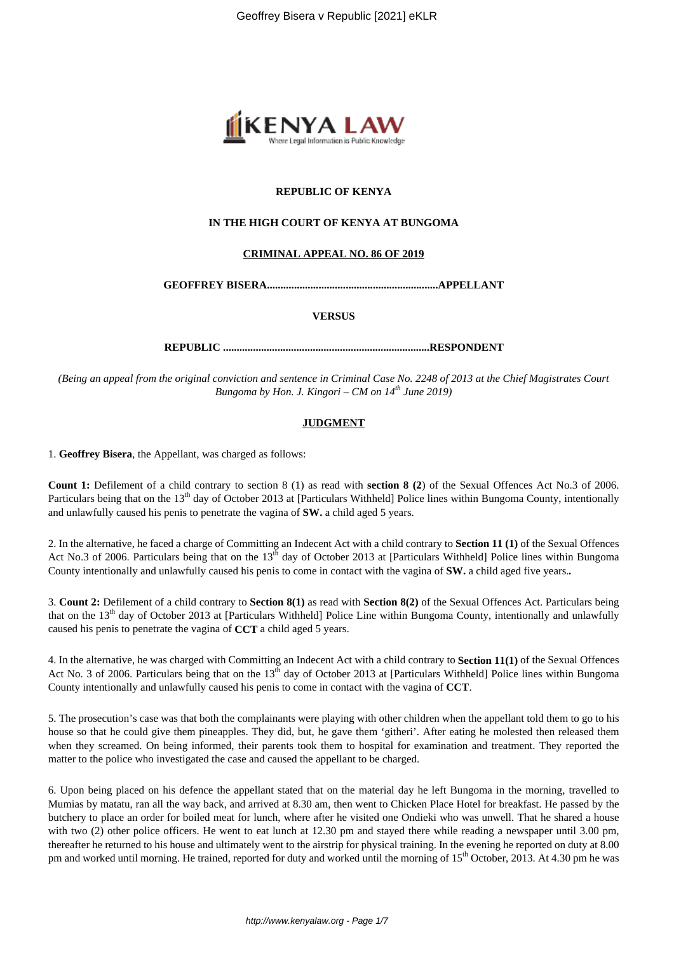

## **REPUBLIC OF KENYA**

# **IN THE HIGH COURT OF KENYA AT BUNGOMA**

## **CRIMINAL APPEAL NO. 86 OF 2019**

**GEOFFREY BISERA...............................................................APPELLANT**

#### **VERSUS**

**REPUBLIC ............................................................................RESPONDENT**

*(Being an appeal from the original conviction and sentence in Criminal Case No. 2248 of 2013 at the Chief Magistrates Court Bungoma by Hon. J. Kingori – CM on 14th June 2019)*

## **JUDGMENT**

1. **Geoffrey Bisera**, the Appellant, was charged as follows:

**Count 1:** Defilement of a child contrary to section 8 (1) as read with **section 8 (2**) of the Sexual Offences Act No.3 of 2006. Particulars being that on the 13<sup>th</sup> day of October 2013 at [Particulars Withheld] Police lines within Bungoma County, intentionally and unlawfully caused his penis to penetrate the vagina of **SW.** a child aged 5 years.

2. In the alternative, he faced a charge of Committing an Indecent Act with a child contrary to **Section 11 (1)** of the Sexual Offences Act No.3 of 2006. Particulars being that on the  $13<sup>th</sup>$  day of October 2013 at [Particulars Withheld] Police lines within Bungoma County intentionally and unlawfully caused his penis to come in contact with the vagina of **SW.** a child aged five years.*.*

3. **Count 2:** Defilement of a child contrary to **Section 8(1)** as read with **Section 8(2)** of the Sexual Offences Act. Particulars being that on the  $13<sup>th</sup>$  day of October 2013 at [Particulars Withheld] Police Line within Bungoma County, intentionally and unlawfully caused his penis to penetrate the vagina of **CCT** a child aged 5 years.

4. In the alternative, he was charged with Committing an Indecent Act with a child contrary to **Section 11(1)** of the Sexual Offences Act No. 3 of 2006. Particulars being that on the 13<sup>th</sup> day of October 2013 at [Particulars Withheld] Police lines within Bungoma County intentionally and unlawfully caused his penis to come in contact with the vagina of **CCT**.

5. The prosecution's case was that both the complainants were playing with other children when the appellant told them to go to his house so that he could give them pineapples. They did, but, he gave them 'githeri'. After eating he molested then released them when they screamed. On being informed, their parents took them to hospital for examination and treatment. They reported the matter to the police who investigated the case and caused the appellant to be charged.

6. Upon being placed on his defence the appellant stated that on the material day he left Bungoma in the morning, travelled to Mumias by matatu, ran all the way back, and arrived at 8.30 am, then went to Chicken Place Hotel for breakfast. He passed by the butchery to place an order for boiled meat for lunch, where after he visited one Ondieki who was unwell. That he shared a house with two (2) other police officers. He went to eat lunch at 12.30 pm and stayed there while reading a newspaper until 3.00 pm, thereafter he returned to his house and ultimately went to the airstrip for physical training. In the evening he reported on duty at 8.00 pm and worked until morning. He trained, reported for duty and worked until the morning of 15<sup>th</sup> October, 2013. At 4.30 pm he was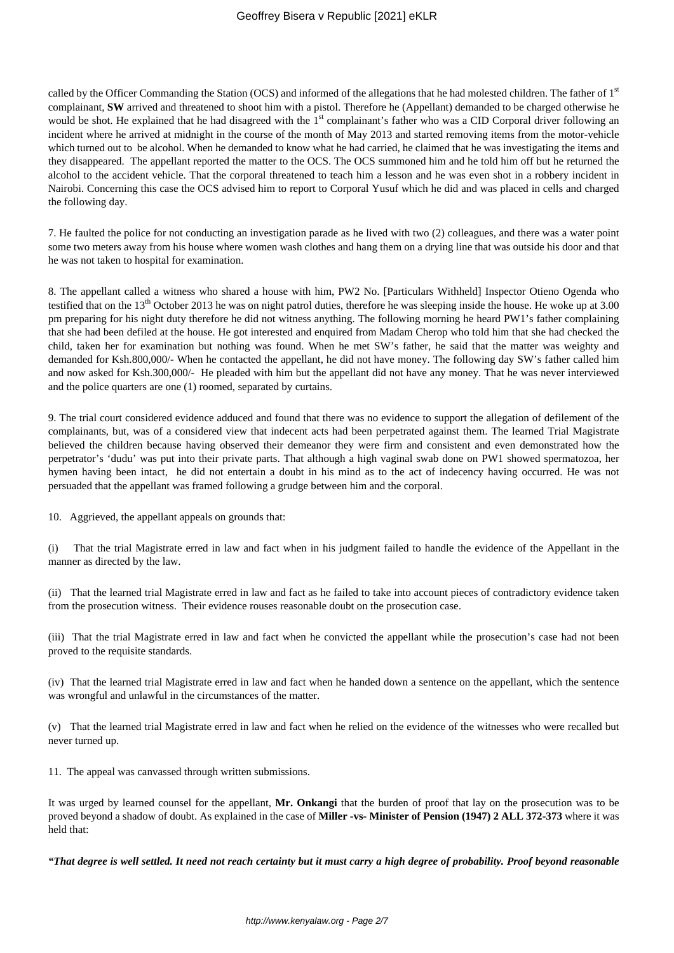called by the Officer Commanding the Station (OCS) and informed of the allegations that he had molested children. The father of 1<sup>st</sup> complainant, **SW** arrived and threatened to shoot him with a pistol. Therefore he (Appellant) demanded to be charged otherwise he would be shot. He explained that he had disagreed with the 1<sup>st</sup> complainant's father who was a CID Corporal driver following an incident where he arrived at midnight in the course of the month of May 2013 and started removing items from the motor-vehicle which turned out to be alcohol. When he demanded to know what he had carried, he claimed that he was investigating the items and they disappeared. The appellant reported the matter to the OCS. The OCS summoned him and he told him off but he returned the alcohol to the accident vehicle. That the corporal threatened to teach him a lesson and he was even shot in a robbery incident in Nairobi. Concerning this case the OCS advised him to report to Corporal Yusuf which he did and was placed in cells and charged the following day.

7. He faulted the police for not conducting an investigation parade as he lived with two (2) colleagues, and there was a water point some two meters away from his house where women wash clothes and hang them on a drying line that was outside his door and that he was not taken to hospital for examination.

8. The appellant called a witness who shared a house with him, PW2 No. [Particulars Withheld] Inspector Otieno Ogenda who testified that on the  $13<sup>th</sup>$  October 2013 he was on night patrol duties, therefore he was sleeping inside the house. He woke up at 3.00 pm preparing for his night duty therefore he did not witness anything. The following morning he heard PW1's father complaining that she had been defiled at the house. He got interested and enquired from Madam Cherop who told him that she had checked the child, taken her for examination but nothing was found. When he met SW's father, he said that the matter was weighty and demanded for Ksh.800,000/- When he contacted the appellant, he did not have money. The following day SW's father called him and now asked for Ksh.300,000/- He pleaded with him but the appellant did not have any money. That he was never interviewed and the police quarters are one (1) roomed, separated by curtains.

9. The trial court considered evidence adduced and found that there was no evidence to support the allegation of defilement of the complainants, but, was of a considered view that indecent acts had been perpetrated against them. The learned Trial Magistrate believed the children because having observed their demeanor they were firm and consistent and even demonstrated how the perpetrator's 'dudu' was put into their private parts. That although a high vaginal swab done on PW1 showed spermatozoa, her hymen having been intact, he did not entertain a doubt in his mind as to the act of indecency having occurred. He was not persuaded that the appellant was framed following a grudge between him and the corporal.

10. Aggrieved, the appellant appeals on grounds that:

(i) That the trial Magistrate erred in law and fact when in his judgment failed to handle the evidence of the Appellant in the manner as directed by the law.

(ii) That the learned trial Magistrate erred in law and fact as he failed to take into account pieces of contradictory evidence taken from the prosecution witness. Their evidence rouses reasonable doubt on the prosecution case.

(iii) That the trial Magistrate erred in law and fact when he convicted the appellant while the prosecution's case had not been proved to the requisite standards.

(iv) That the learned trial Magistrate erred in law and fact when he handed down a sentence on the appellant, which the sentence was wrongful and unlawful in the circumstances of the matter.

(v) That the learned trial Magistrate erred in law and fact when he relied on the evidence of the witnesses who were recalled but never turned up.

11. The appeal was canvassed through written submissions.

It was urged by learned counsel for the appellant, **Mr. Onkangi** that the burden of proof that lay on the prosecution was to be proved beyond a shadow of doubt. As explained in the case of **Miller -vs- Minister of Pension (1947) 2 ALL 372-373** where it was held that:

*"That degree is well settled. It need not reach certainty but it must carry a high degree of probability. Proof beyond reasonable*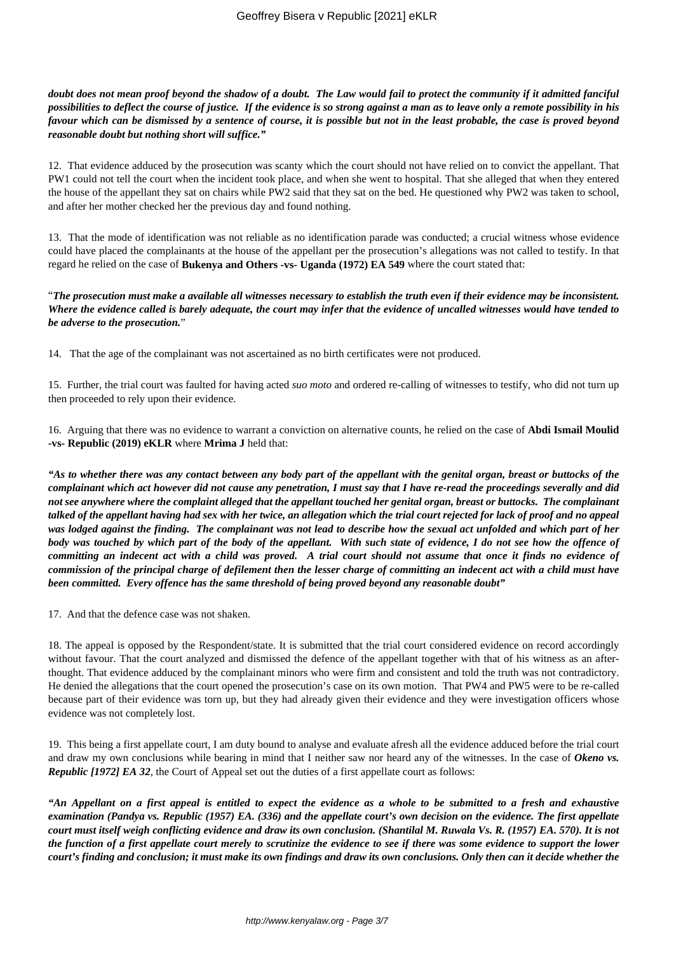*doubt does not mean proof beyond the shadow of a doubt. The Law would fail to protect the community if it admitted fanciful possibilities to deflect the course of justice. If the evidence is so strong against a man as to leave only a remote possibility in his favour which can be dismissed by a sentence of course, it is possible but not in the least probable, the case is proved beyond reasonable doubt but nothing short will suffice."*

12. That evidence adduced by the prosecution was scanty which the court should not have relied on to convict the appellant. That PW1 could not tell the court when the incident took place, and when she went to hospital. That she alleged that when they entered the house of the appellant they sat on chairs while PW2 said that they sat on the bed. He questioned why PW2 was taken to school, and after her mother checked her the previous day and found nothing.

13. That the mode of identification was not reliable as no identification parade was conducted; a crucial witness whose evidence could have placed the complainants at the house of the appellant per the prosecution's allegations was not called to testify. In that regard he relied on the case of **Bukenya and Others -vs- Uganda (1972) EA 549** where the court stated that:

"*The prosecution must make a available all witnesses necessary to establish the truth even if their evidence may be inconsistent. Where the evidence called is barely adequate, the court may infer that the evidence of uncalled witnesses would have tended to be adverse to the prosecution.*"

14. That the age of the complainant was not ascertained as no birth certificates were not produced.

15. Further, the trial court was faulted for having acted *suo moto* and ordered re-calling of witnesses to testify, who did not turn up then proceeded to rely upon their evidence.

16. Arguing that there was no evidence to warrant a conviction on alternative counts, he relied on the case of **Abdi Ismail Moulid -vs- Republic (2019) eKLR** where **Mrima J** held that:

*"As to whether there was any contact between any body part of the appellant with the genital organ, breast or buttocks of the complainant which act however did not cause any penetration, I must say that I have re-read the proceedings severally and did not see anywhere where the complaint alleged that the appellant touched her genital organ, breast or buttocks. The complainant talked of the appellant having had sex with her twice, an allegation which the trial court rejected for lack of proof and no appeal was lodged against the finding. The complainant was not lead to describe how the sexual act unfolded and which part of her body was touched by which part of the body of the appellant. With such state of evidence, I do not see how the offence of committing an indecent act with a child was proved. A trial court should not assume that once it finds no evidence of commission of the principal charge of defilement then the lesser charge of committing an indecent act with a child must have been committed. Every offence has the same threshold of being proved beyond any reasonable doubt"*

17. And that the defence case was not shaken.

18. The appeal is opposed by the Respondent/state. It is submitted that the trial court considered evidence on record accordingly without favour. That the court analyzed and dismissed the defence of the appellant together with that of his witness as an afterthought. That evidence adduced by the complainant minors who were firm and consistent and told the truth was not contradictory. He denied the allegations that the court opened the prosecution's case on its own motion. That PW4 and PW5 were to be re-called because part of their evidence was torn up, but they had already given their evidence and they were investigation officers whose evidence was not completely lost.

19. This being a first appellate court, I am duty bound to analyse and evaluate afresh all the evidence adduced before the trial court and draw my own conclusions while bearing in mind that I neither saw nor heard any of the witnesses. In the case of *Okeno vs. Republic [1972] EA 32*, the Court of Appeal set out the duties of a first appellate court as follows:

*"An Appellant on a first appeal is entitled to expect the evidence as a whole to be submitted to a fresh and exhaustive examination (Pandya vs. Republic (1957) EA. (336) and the appellate court's own decision on the evidence. The first appellate court must itself weigh conflicting evidence and draw its own conclusion. (Shantilal M. Ruwala Vs. R. (1957) EA. 570). It is not the function of a first appellate court merely to scrutinize the evidence to see if there was some evidence to support the lower court's finding and conclusion; it must make its own findings and draw its own conclusions. Only then can it decide whether the*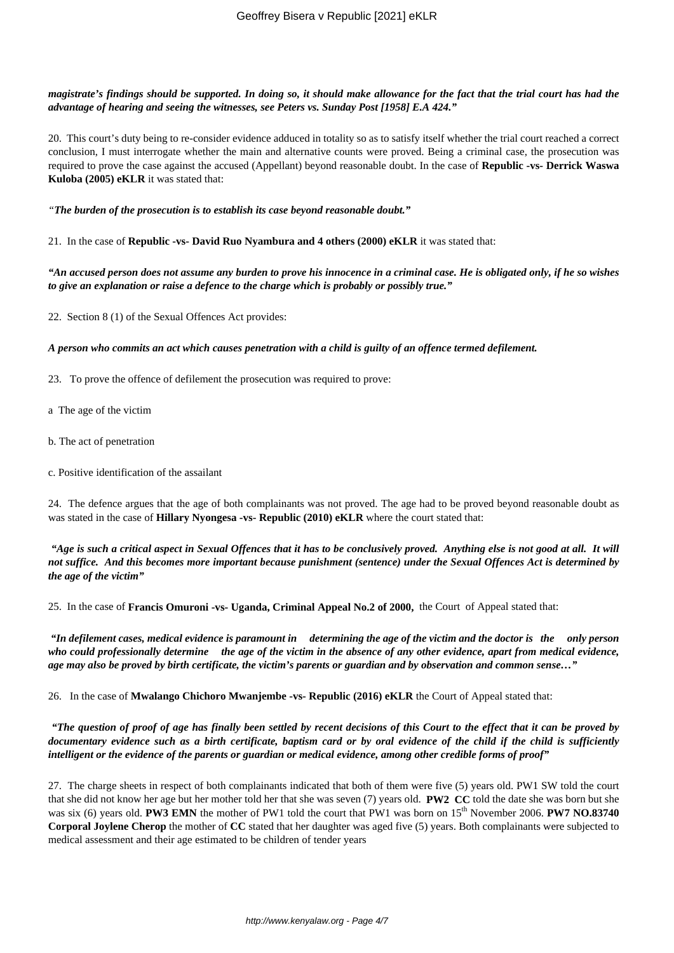*magistrate's findings should be supported. In doing so, it should make allowance for the fact that the trial court has had the advantage of hearing and seeing the witnesses, see Peters vs. Sunday Post [1958] E.A 424."*

20. This court's duty being to re-consider evidence adduced in totality so as to satisfy itself whether the trial court reached a correct conclusion, I must interrogate whether the main and alternative counts were proved. Being a criminal case, the prosecution was required to prove the case against the accused (Appellant) beyond reasonable doubt. In the case of **Republic -vs- Derrick Waswa Kuloba (2005) eKLR** it was stated that:

*"The burden of the prosecution is to establish its case beyond reasonable doubt."*

21. In the case of **Republic -vs- David Ruo Nyambura and 4 others (2000) eKLR** it was stated that:

*"An accused person does not assume any burden to prove his innocence in a criminal case. He is obligated only, if he so wishes to give an explanation or raise a defence to the charge which is probably or possibly true."*

22. Section 8 (1) of the Sexual Offences Act provides:

*A person who commits an act which causes penetration with a child is guilty of an offence termed defilement.*

23. To prove the offence of defilement the prosecution was required to prove:

a The age of the victim

- b. The act of penetration
- c. Positive identification of the assailant

24. The defence argues that the age of both complainants was not proved. The age had to be proved beyond reasonable doubt as was stated in the case of **Hillary Nyongesa -vs- Republic (2010) eKLR** where the court stated that:

*"Age is such a critical aspect in Sexual Offences that it has to be conclusively proved. Anything else is not good at all. It will not suffice. And this becomes more important because punishment (sentence) under the Sexual Offences Act is determined by the age of the victim"*

25. In the case of **Francis Omuroni -vs- Uganda, Criminal Appeal No.2 of 2000,** the Court of Appeal stated that:

*"In defilement cases, medical evidence is paramount in determining the age of the victim and the doctor is the only person who could professionally determine the age of the victim in the absence of any other evidence, apart from medical evidence, age may also be proved by birth certificate, the victim's parents or guardian and by observation and common sense…"*

26. In the case of **Mwalango Chichoro Mwanjembe -vs- Republic (2016) eKLR** the Court of Appeal stated that:

*"The question of proof of age has finally been settled by recent decisions of this Court to the effect that it can be proved by documentary evidence such as a birth certificate, baptism card or by oral evidence of the child if the child is sufficiently intelligent or the evidence of the parents or guardian or medical evidence, among other credible forms of proof"*

27. The charge sheets in respect of both complainants indicated that both of them were five (5) years old. PW1 SW told the court that she did not know her age but her mother told her that she was seven (7) years old. **PW2 CC** told the date she was born but she was six (6) years old. **PW3 EMN** the mother of PW1 told the court that PW1 was born on 15<sup>th</sup> November 2006. **PW7 NO.83740 Corporal Joylene Cherop** the mother of **CC** stated that her daughter was aged five (5) years. Both complainants were subjected to medical assessment and their age estimated to be children of tender years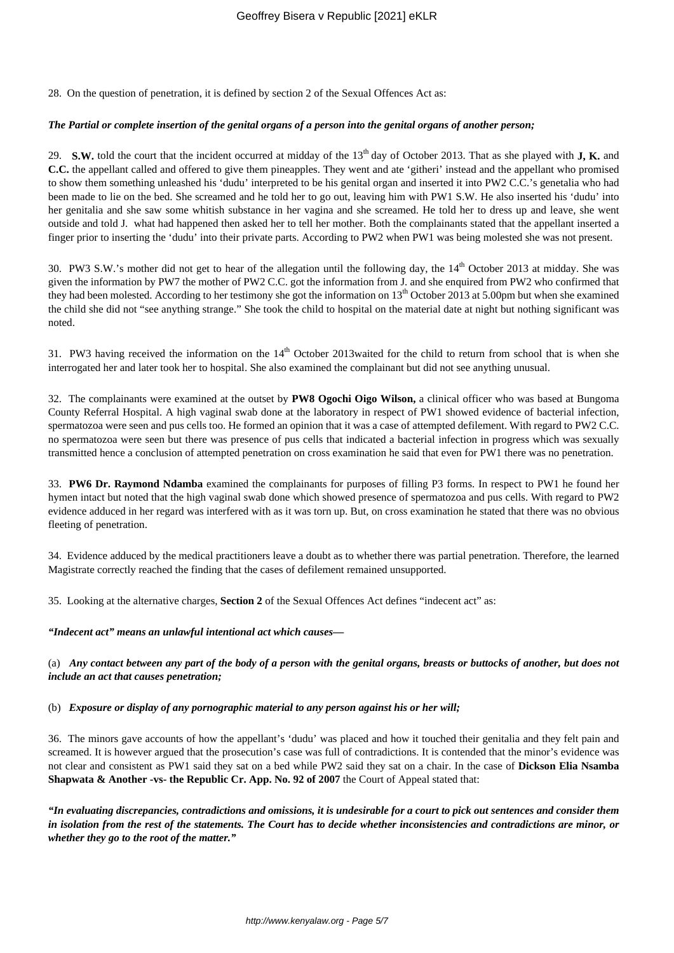28. On the question of penetration, it is defined by section 2 of the Sexual Offences Act as:

#### *The Partial or complete insertion of the genital organs of a person into the genital organs of another person;*

29. **S.W.** told the court that the incident occurred at midday of the 13<sup>th</sup> day of October 2013. That as she played with **J, K.** and **C.C.** the appellant called and offered to give them pineapples. They went and ate 'githeri' instead and the appellant who promised to show them something unleashed his 'dudu' interpreted to be his genital organ and inserted it into PW2 C.C.'s genetalia who had been made to lie on the bed. She screamed and he told her to go out, leaving him with PW1 S.W. He also inserted his 'dudu' into her genitalia and she saw some whitish substance in her vagina and she screamed. He told her to dress up and leave, she went outside and told J. what had happened then asked her to tell her mother. Both the complainants stated that the appellant inserted a finger prior to inserting the 'dudu' into their private parts. According to PW2 when PW1 was being molested she was not present.

30. PW3 S.W.'s mother did not get to hear of the allegation until the following day, the  $14<sup>th</sup>$  October 2013 at midday. She was given the information by PW7 the mother of PW2 C.C. got the information from J. and she enquired from PW2 who confirmed that they had been molested. According to her testimony she got the information on 13<sup>th</sup> October 2013 at 5.00pm but when she examined the child she did not "see anything strange." She took the child to hospital on the material date at night but nothing significant was noted.

31. PW3 having received the information on the 14<sup>th</sup> October 2013waited for the child to return from school that is when she interrogated her and later took her to hospital. She also examined the complainant but did not see anything unusual.

32. The complainants were examined at the outset by **PW8 Ogochi Oigo Wilson,** a clinical officer who was based at Bungoma County Referral Hospital. A high vaginal swab done at the laboratory in respect of PW1 showed evidence of bacterial infection, spermatozoa were seen and pus cells too. He formed an opinion that it was a case of attempted defilement. With regard to PW2 C.C. no spermatozoa were seen but there was presence of pus cells that indicated a bacterial infection in progress which was sexually transmitted hence a conclusion of attempted penetration on cross examination he said that even for PW1 there was no penetration.

33. **PW6 Dr. Raymond Ndamba** examined the complainants for purposes of filling P3 forms. In respect to PW1 he found her hymen intact but noted that the high vaginal swab done which showed presence of spermatozoa and pus cells. With regard to PW2 evidence adduced in her regard was interfered with as it was torn up. But, on cross examination he stated that there was no obvious fleeting of penetration.

34. Evidence adduced by the medical practitioners leave a doubt as to whether there was partial penetration. Therefore, the learned Magistrate correctly reached the finding that the cases of defilement remained unsupported.

35. Looking at the alternative charges, **Section 2** of the Sexual Offences Act defines "indecent act" as:

*"Indecent act" means an unlawful intentional act which causes—*

(a) *Any contact between any part of the body of a person with the genital organs, breasts or buttocks of another, but does not include an act that causes penetration;*

#### (b) *Exposure or display of any pornographic material to any person against his or her will;*

36. The minors gave accounts of how the appellant's 'dudu' was placed and how it touched their genitalia and they felt pain and screamed. It is however argued that the prosecution's case was full of contradictions. It is contended that the minor's evidence was not clear and consistent as PW1 said they sat on a bed while PW2 said they sat on a chair. In the case of **Dickson Elia Nsamba Shapwata & Another -vs- the Republic Cr. App. No. 92 of 2007** the Court of Appeal stated that:

*"In evaluating discrepancies, contradictions and omissions, it is undesirable for a court to pick out sentences and consider them in isolation from the rest of the statements. The Court has to decide whether inconsistencies and contradictions are minor, or whether they go to the root of the matter."*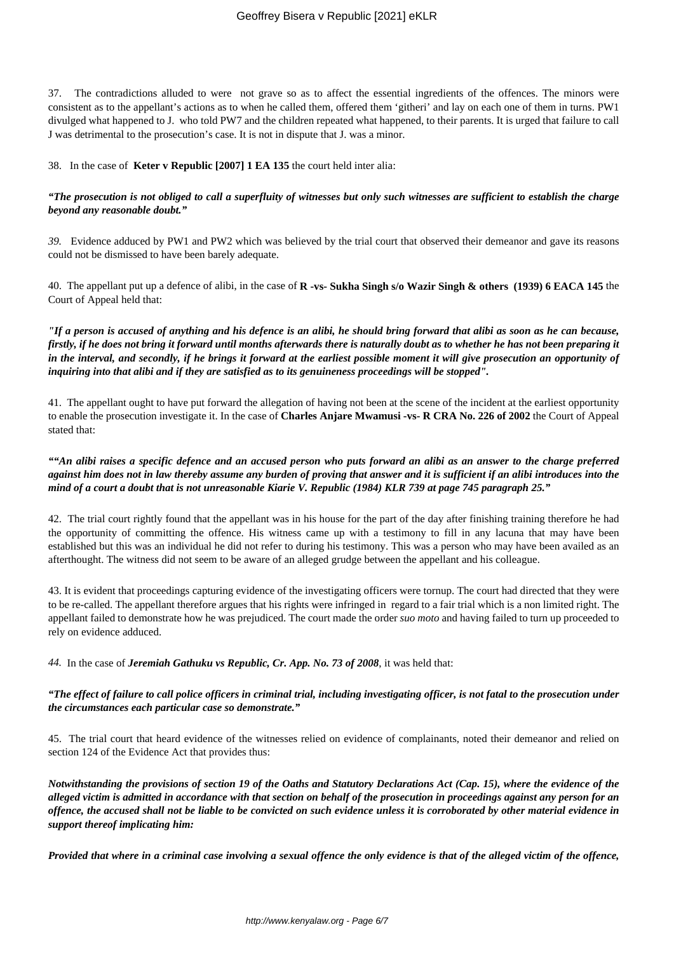37. The contradictions alluded to were not grave so as to affect the essential ingredients of the offences. The minors were consistent as to the appellant's actions as to when he called them, offered them 'githeri' and lay on each one of them in turns. PW1 divulged what happened to J. who told PW7 and the children repeated what happened, to their parents. It is urged that failure to call J was detrimental to the prosecution's case. It is not in dispute that J. was a minor.

38. In the case of **Keter v Republic [2007] 1 EA 135** the court held inter alia:

# *"The prosecution is not obliged to call a superfluity of witnesses but only such witnesses are sufficient to establish the charge beyond any reasonable doubt."*

*39.* Evidence adduced by PW1 and PW2 which was believed by the trial court that observed their demeanor and gave its reasons could not be dismissed to have been barely adequate.

40. The appellant put up a defence of alibi, in the case of **R -vs- Sukha Singh s/o Wazir Singh & others (1939) 6 EACA 145** the Court of Appeal held that:

*"If a person is accused of anything and his defence is an alibi, he should bring forward that alibi as soon as he can because, firstly, if he does not bring it forward until months afterwards there is naturally doubt as to whether he has not been preparing it in the interval, and secondly, if he brings it forward at the earliest possible moment it will give prosecution an opportunity of inquiring into that alibi and if they are satisfied as to its genuineness proceedings will be stopped".*

41. The appellant ought to have put forward the allegation of having not been at the scene of the incident at the earliest opportunity to enable the prosecution investigate it. In the case of **Charles Anjare Mwamusi -vs- R CRA No. 226 of 2002** the Court of Appeal stated that:

# *""An alibi raises a specific defence and an accused person who puts forward an alibi as an answer to the charge preferred against him does not in law thereby assume any burden of proving that answer and it is sufficient if an alibi introduces into the mind of a court a doubt that is not unreasonable Kiarie V. Republic (1984) KLR 739 at page 745 paragraph 25."*

42. The trial court rightly found that the appellant was in his house for the part of the day after finishing training therefore he had the opportunity of committing the offence. His witness came up with a testimony to fill in any lacuna that may have been established but this was an individual he did not refer to during his testimony. This was a person who may have been availed as an afterthought. The witness did not seem to be aware of an alleged grudge between the appellant and his colleague.

43. It is evident that proceedings capturing evidence of the investigating officers were tornup. The court had directed that they were to be re-called. The appellant therefore argues that his rights were infringed in regard to a fair trial which is a non limited right. The appellant failed to demonstrate how he was prejudiced. The court made the order *suo moto* and having failed to turn up proceeded to rely on evidence adduced.

*44.* In the case of *Jeremiah Gathuku vs Republic, Cr. App. No. 73 of 2008*, it was held that:

# *"The effect of failure to call police officers in criminal trial, including investigating officer, is not fatal to the prosecution under the circumstances each particular case so demonstrate."*

45. The trial court that heard evidence of the witnesses relied on evidence of complainants, noted their demeanor and relied on section 124 of the Evidence Act that provides thus:

*Notwithstanding the provisions of section 19 of the Oaths and Statutory Declarations Act (Cap. 15), where the evidence of the alleged victim is admitted in accordance with that section on behalf of the prosecution in proceedings against any person for an offence, the accused shall not be liable to be convicted on such evidence unless it is corroborated by other material evidence in support thereof implicating him:*

*Provided that where in a criminal case involving a sexual offence the only evidence is that of the alleged victim of the offence,*